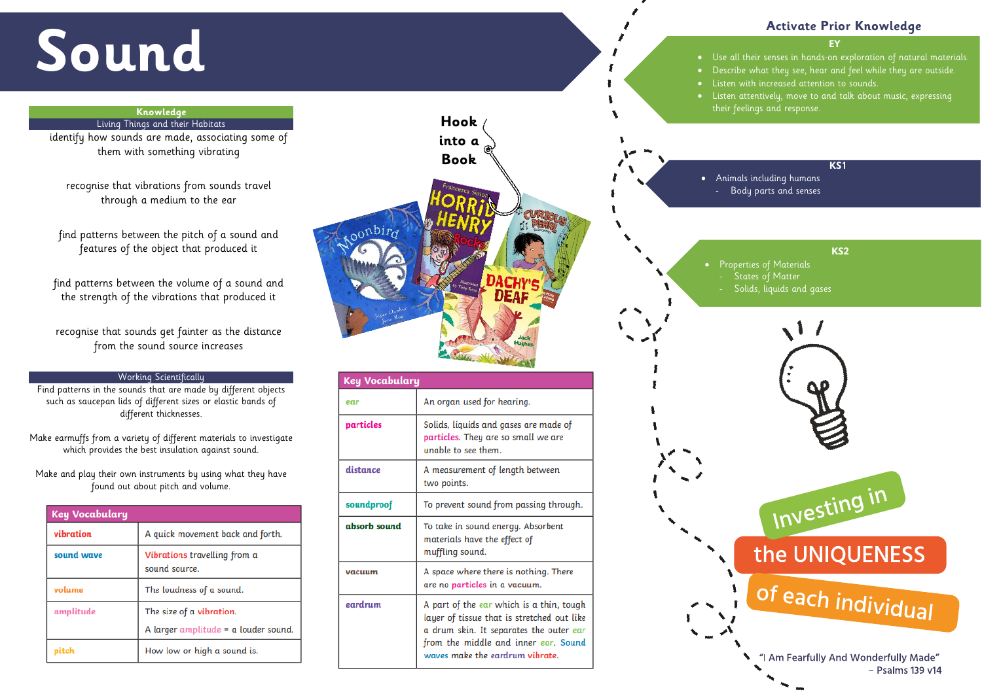# **Sound**

#### **EY**

 $\bullet$   $\;\;$  Use all their senses in hands-on exploration of natural materials. • Describe what they see, hear and feel while they are outside. • Listen with increased attention to sounds.

• Properties of Materials Solids, liquids and gases





### the UNIQUENESS

## of each individual

If your fearfully And Wonderfully Made"  $-$  Psalms 139 v14

• Listen attentively, move to and talk about music, expressing their feelings and response.

#### **Activate Prior Knowledge**

#### **KS1**

• Animals including humans - Body parts and senses

#### **KS2**

#### **Knowledge**

Living Things and their Habitats

identify how sounds are made, associating some of them with something vibrating

recognise that vibrations from sounds travel through a medium to the ear

find patterns between the pitch of a sound and features of the object that produced it

find patterns between the volume of a sound and the strength of the vibrations that produced it

recognise that sounds get fainter as the distance from the sound source increases

#### Working Scientifically

Find patterns in the sounds that are made by different objects such as saucepan lids of different sizes or elastic bands of different thicknesses.

Make earmuffs from a variety of different materials to investigate which provides the best insulation against sound.

Make and play their own instruments by using what they have found out about pitch and volume.

| <b>Key Vocabulary</b> |                                                                    |
|-----------------------|--------------------------------------------------------------------|
| vibration             | A quick movement back and forth.                                   |
| sound wave            | Vibrations travelling from a<br>sound source.                      |
| volume                | The loudness of a sound.                                           |
| amplitude             | The size of a vibration.<br>A larger amplitude $=$ a louder sound. |
|                       | How low or high a sound is.                                        |